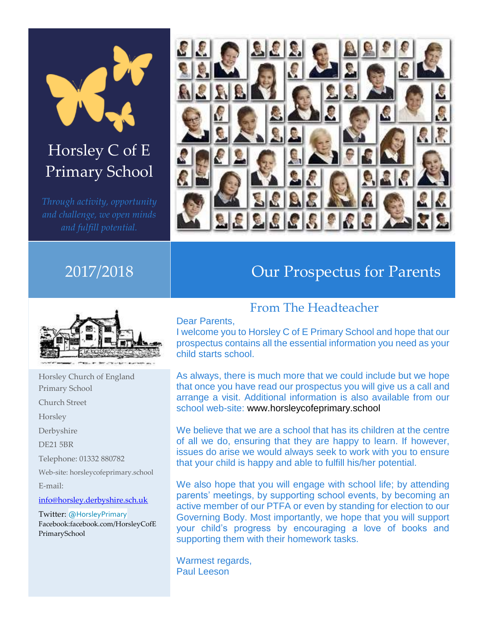

# Horsley C of E Primary School



# 2017/2018 Our Prospectus for Parents



Horsley Church of England Primary School Church Street Horsley Derbyshire DE21 5BR Telephone: 01332 880782 Web-site: horsleycofeprimary.school E-mail: [info@horsley.derbyshire.sch.uk](mailto:info@horsley.derbyshire.sch.uk) Twitter: [@HorsleyPrimary](https://twitter.com/HorsleyPrimary)

Facebook:facebook.com/HorsleyCofE PrimarySchool

## From The Headteacher

#### Dear Parents,

I welcome you to Horsley C of E Primary School and hope that our prospectus contains all the essential information you need as your child starts school.

As always, there is much more that we could include but we hope that once you have read our prospectus you will give us a call and arrange a visit. Additional information is also available from our school web-site: www.horsleycofeprimary.school

We believe that we are a school that has its children at the centre of all we do, ensuring that they are happy to learn. If however, issues do arise we would always seek to work with you to ensure that your child is happy and able to fulfill his/her potential.

We also hope that you will engage with school life; by attending parents' meetings, by supporting school events, by becoming an active member of our PTFA or even by standing for election to our Governing Body. Most importantly, we hope that you will support your child's progress by encouraging a love of books and supporting them with their homework tasks.

Warmest regards, Paul Leeson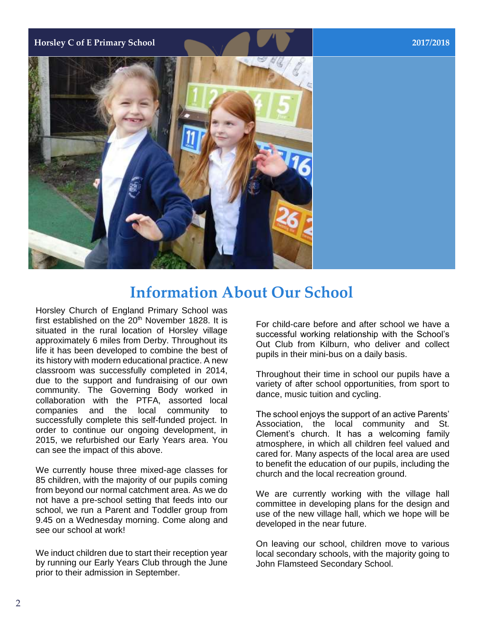**Horsley C of E Primary School 2017/2018**



# **Information About Our School**

Horsley Church of England Primary School was first established on the  $20<sup>th</sup>$  November 1828. It is situated in the rural location of Horsley village approximately 6 miles from Derby. Throughout its life it has been developed to combine the best of its history with modern educational practice. A new classroom was successfully completed in 2014, due to the support and fundraising of our own community. The Governing Body worked in collaboration with the PTFA, assorted local companies and the local community to successfully complete this self-funded project. In order to continue our ongoing development, in 2015, we refurbished our Early Years area. You can see the impact of this above.

We currently house three mixed-age classes for 85 children, with the majority of our pupils coming from beyond our normal catchment area. As we do not have a pre-school setting that feeds into our school, we run a Parent and Toddler group from 9.45 on a Wednesday morning. Come along and see our school at work!

We induct children due to start their reception year by running our Early Years Club through the June prior to their admission in September.

For child-care before and after school we have a successful working relationship with the School's Out Club from Kilburn, who deliver and collect pupils in their mini-bus on a daily basis.

Throughout their time in school our pupils have a variety of after school opportunities, from sport to dance, music tuition and cycling.

The school enjoys the support of an active Parents' Association, the local community and St. Clement's church. It has a welcoming family atmosphere, in which all children feel valued and cared for. Many aspects of the local area are used to benefit the education of our pupils, including the church and the local recreation ground.

We are currently working with the village hall committee in developing plans for the design and use of the new village hall, which we hope will be developed in the near future.

On leaving our school, children move to various local secondary schools, with the majority going to John Flamsteed Secondary School.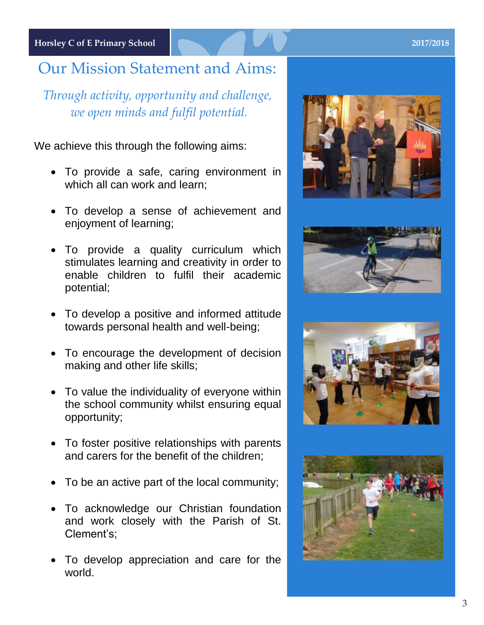**Horsley C of E Primary School 2017/2018**

# Our Mission Statement and Aims:

*Through activity, opportunity and challenge, we open minds and fulfil potential.*

We achieve this through the following aims:

- To provide a safe, caring environment in which all can work and learn;
- To develop a sense of achievement and enjoyment of learning;
- To provide a quality curriculum which stimulates learning and creativity in order to enable children to fulfil their academic potential;
- To develop a positive and informed attitude towards personal health and well-being;
- To encourage the development of decision making and other life skills;
- To value the individuality of everyone within the school community whilst ensuring equal opportunity;
- To foster positive relationships with parents and carers for the benefit of the children;
- To be an active part of the local community;
- To acknowledge our Christian foundation and work closely with the Parish of St. Clement's;
- To develop appreciation and care for the world.







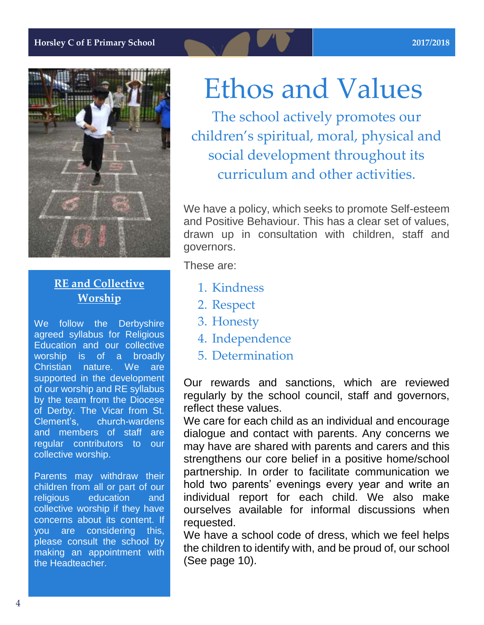

# **RE** and Collective **Worship**

We follow the Derbyshire agreed syllabus for Religious Education and our collective worship is of a broadly Christian nature. We are supported in the development of our worship and RE syllabus by the team from the Diocese of Derby. The Vicar from St. Clement's, church-wardens and members of staff are regular contributors to our collective worship.

Parents may withdraw their children from all or part of our religious education and collective worship if they have concerns about its content. If you are considering this, please consult the school by making an appointment with the Headteacher.

# Ethos and Values

The school actively promotes our children's spiritual, moral, physical and social development throughout its curriculum and other activities.

We have a policy, which seeks to promote Self-esteem and Positive Behaviour. This has a clear set of values, drawn up in consultation with children, staff and governors.

These are:

- 1. Kindness
- 2. Respect
- 3. Honesty
- 4. Independence
- 5. Determination

Our rewards and sanctions, which are reviewed regularly by the school council, staff and governors, reflect these values.

We care for each child as an individual and encourage dialogue and contact with parents. Any concerns we may have are shared with parents and carers and this strengthens our core belief in a positive home/school partnership. In order to facilitate communication we hold two parents' evenings every year and write an individual report for each child. We also make ourselves available for informal discussions when requested.

We have a school code of dress, which we feel helps the children to identify with, and be proud of, our school (See page 10).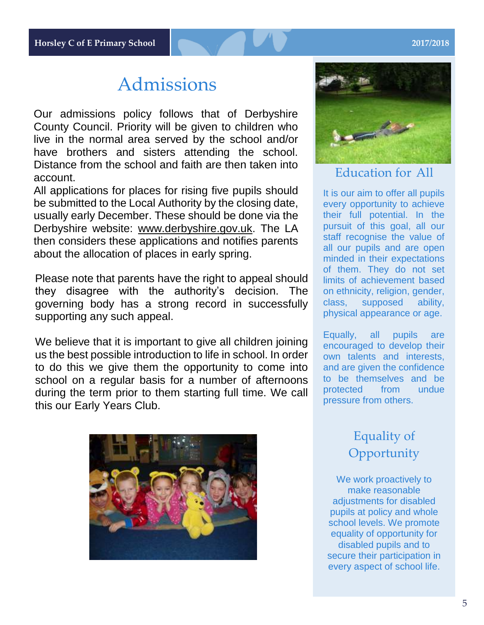# Admissions

Our admissions policy follows that of Derbyshire County Council. Priority will be given to children who live in the normal area served by the school and/or have brothers and sisters attending the school. Distance from the school and faith are then taken into account.

All applications for places for rising five pupils should be submitted to the Local Authority by the closing date, usually early December. These should be done via the Derbyshire website: [www.derbyshire.gov.uk.](http://www.derbyshire.gov.uk/) The LA then considers these applications and notifies parents about the allocation of places in early spring.

Please note that parents have the right to appeal should they disagree with the authority's decision. The governing body has a strong record in successfully supporting any such appeal.

We believe that it is important to give all children joining us the best possible introduction to life in school. In order to do this we give them the opportunity to come into school on a regular basis for a number of afternoons during the term prior to them starting full time. We call this our Early Years Club.





### Education for All

It is our aim to offer all pupils every opportunity to achieve their full potential. In the pursuit of this goal, all our staff recognise the value of all our pupils and are open minded in their expectations of them. They do not set limits of achievement based on ethnicity, religion, gender, class, supposed ability, physical appearance or age.

Equally, all pupils are encouraged to develop their own talents and interests, and are given the confidence to be themselves and be protected from undue pressure from others.

# Equality of **Opportunity**

We work proactively to make reasonable adjustments for disabled pupils at policy and whole school levels. We promote equality of opportunity for disabled pupils and to secure their participation in every aspect of school life.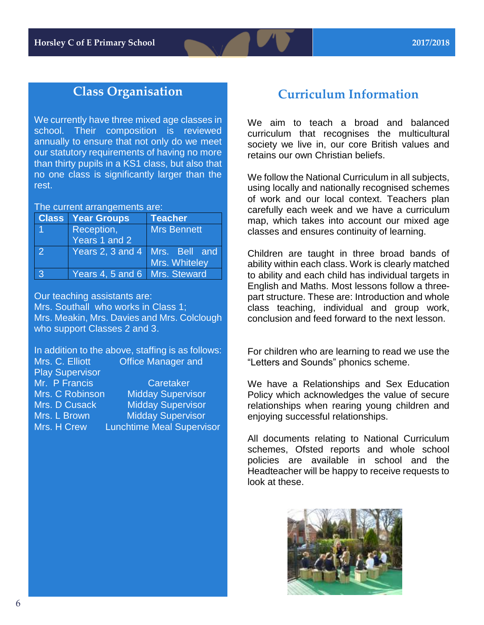# **Class Organisation**

We currently have three mixed age classes in school. Their composition is reviewed annually to ensure that not only do we meet our statutory requirements of having no more than thirty pupils in a KS1 class, but also that no one class is significantly larger than the rest.

The current arrangements are:

|              | <b>Class Year Groups</b>         | <b>Teacher</b>     |
|--------------|----------------------------------|--------------------|
|              | Reception,                       | <b>Mrs Bennett</b> |
|              | Years 1 and 2                    |                    |
| $\mathbf{Z}$ | Years 2, 3 and 4   Mrs. Bell and |                    |
|              |                                  | Mrs. Whiteley      |
| 3            | Years 4, 5 and 6   Mrs. Steward  |                    |

Our teaching assistants are: Mrs. Southall who works in Class 1; Mrs. Meakin, Mrs. Davies and Mrs. Colclough who support Classes 2 and 3.

In addition to the above, staffing is as follows: Mrs. C. Elliott **Office Manager and** Play Supervisor Mr. P Francis<br>
Mrs. C Robinson Midday Supervi Mrs. C Robinson Midday Supervisor<br>Mrs. D Cusack Midday Supervisor **Midday Supervisor** Mrs. L Brown Midday Supervisor Mrs. H Crew Lunchtime Meal Supervisor

### **Curriculum Information**

We aim to teach a broad and balanced curriculum that recognises the multicultural society we live in, our core British values and retains our own Christian beliefs.

We follow the National Curriculum in all subjects, using locally and nationally recognised schemes of work and our local context. Teachers plan carefully each week and we have a curriculum map, which takes into account our mixed age classes and ensures continuity of learning.

Children are taught in three broad bands of ability within each class. Work is clearly matched to ability and each child has individual targets in English and Maths. Most lessons follow a threepart structure. These are: Introduction and whole class teaching, individual and group work, conclusion and feed forward to the next lesson.

For children who are learning to read we use the "Letters and Sounds" phonics scheme.

We have a Relationships and Sex Education Policy which acknowledges the value of secure relationships when rearing young children and enjoying successful relationships.

All documents relating to National Curriculum schemes, Ofsted reports and whole school policies are available in school and the Headteacher will be happy to receive requests to look at these.

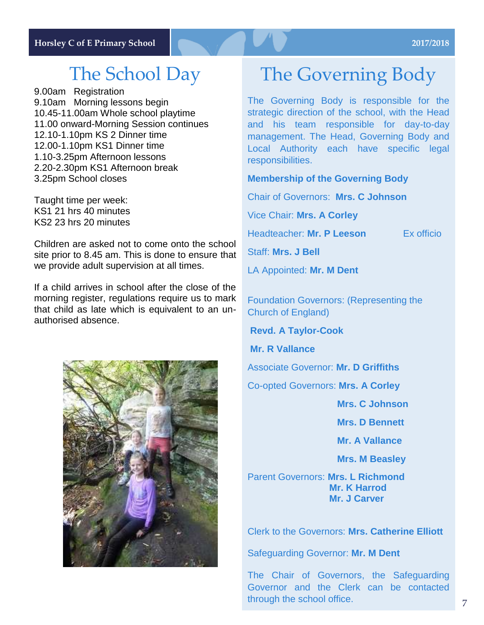# The School Day

9.00am Registration 9.10am Morning lessons begin 10.45-11.00am Whole school playtime 11.00 onward-Morning Session continues 12.10-1.10pm KS 2 Dinner time 12.00-1.10pm KS1 Dinner time 1.10-3.25pm Afternoon lessons 2.20-2.30pm KS1 Afternoon break 3.25pm School closes

Taught time per week: KS1 21 hrs 40 minutes KS2 23 hrs 20 minutes

Children are asked not to come onto the school site prior to 8.45 am. This is done to ensure that we provide adult supervision at all times.

If a child arrives in school after the close of the morning register, regulations require us to mark that child as late which is equivalent to an unauthorised absence.



# The Governing Body

The Governing Body is responsible for the strategic direction of the school, with the Head and his team responsible for day-to-day management. The Head, Governing Body and Local Authority each have specific legal responsibilities.

#### **Membership of the Governing Body**

Chair of Governors: **Mrs. C Johnson**

Vice Chair: **Mrs. A Corley**

Headteacher: **Mr. P Leeson Ex officio** 

Staff: **Mrs. J Bell**

LA Appointed: **Mr. M Dent** 

Foundation Governors: (Representing the Church of England)

**Revd. A Taylor-Cook**

**Mr. R Vallance** 

Associate Governor: **Mr. D Griffiths**

Co-opted Governors: **Mrs. A Corley**

 **Mrs. C Johnson**

 **Mrs. D Bennett** 

 **Mr. A Vallance**

 **Mrs. M Beasley** 

Parent Governors: **Mrs. L Richmond Mr. K Harrod Mr. J Carver** 

Clerk to the Governors: **Mrs. Catherine Elliott**

Safeguarding Governor: **Mr. M Dent**

The Chair of Governors, the Safeguarding Governor and the Clerk can be contacted through the school office.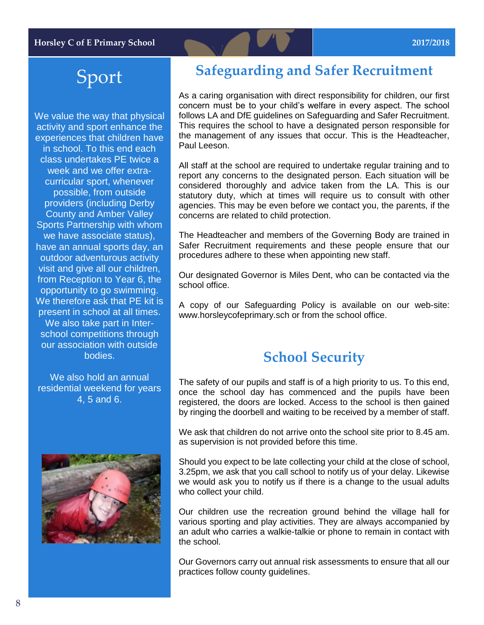# Sport

We value the way that physical activity and sport enhance the experiences that children have in school. To this end each class undertakes PE twice a week and we offer extracurricular sport, whenever possible, from outside providers (including Derby County and Amber Valley Sports Partnership with whom we have associate status), have an annual sports day, an outdoor adventurous activity visit and give all our children, from Reception to Year 6, the opportunity to go swimming. We therefore ask that PF kit is present in school at all times. We also take part in Interschool competitions through our association with outside bodies.

We also hold an annual residential weekend for years 4, 5 and 6.



# **Safeguarding and Safer Recruitment**

As a caring organisation with direct responsibility for children, our first concern must be to your child's welfare in every aspect. The school follows LA and DfE guidelines on Safeguarding and Safer Recruitment. This requires the school to have a designated person responsible for the management of any issues that occur. This is the Headteacher, Paul Leeson.

All staff at the school are required to undertake regular training and to report any concerns to the designated person. Each situation will be considered thoroughly and advice taken from the LA. This is our statutory duty, which at times will require us to consult with other agencies. This may be even before we contact you, the parents, if the concerns are related to child protection.

The Headteacher and members of the Governing Body are trained in Safer Recruitment requirements and these people ensure that our procedures adhere to these when appointing new staff.

Our designated Governor is Miles Dent, who can be contacted via the school office.

A copy of our Safeguarding Policy is available on our web-site: www.horsleycofeprimary.sch or from the school office.

# **School Security**

The safety of our pupils and staff is of a high priority to us. To this end, once the school day has commenced and the pupils have been registered, the doors are locked. Access to the school is then gained by ringing the doorbell and waiting to be received by a member of staff.

We ask that children do not arrive onto the school site prior to 8.45 am. as supervision is not provided before this time.

Should you expect to be late collecting your child at the close of school, 3.25pm, we ask that you call school to notify us of your delay. Likewise we would ask you to notify us if there is a change to the usual adults who collect your child.

Our children use the recreation ground behind the village hall for various sporting and play activities. They are always accompanied by an adult who carries a walkie-talkie or phone to remain in contact with the school.

Our Governors carry out annual risk assessments to ensure that all our practices follow county guidelines.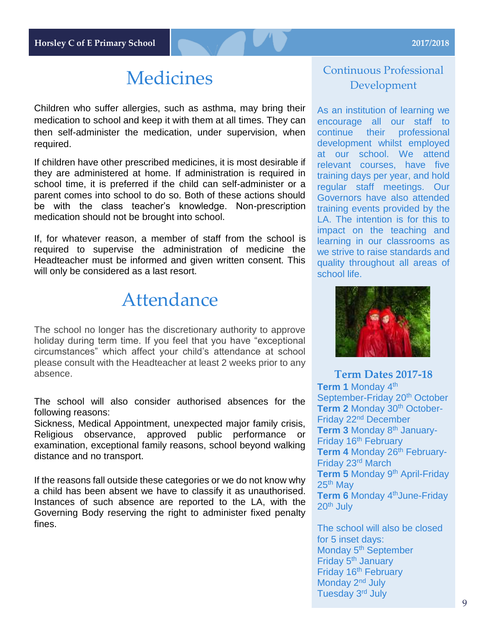# Medicines

Children who suffer allergies, such as asthma, may bring their medication to school and keep it with them at all times. They can then self-administer the medication, under supervision, when required.

If children have other prescribed medicines, it is most desirable if they are administered at home. If administration is required in school time, it is preferred if the child can self-administer or a parent comes into school to do so. Both of these actions should be with the class teacher's knowledge. Non-prescription medication should not be brought into school.

If, for whatever reason, a member of staff from the school is required to supervise the administration of medicine the Headteacher must be informed and given written consent. This will only be considered as a last resort.

# Attendance

The school no longer has the discretionary authority to approve holiday during term time. If you feel that you have "exceptional circumstances" which affect your child's attendance at school please consult with the Headteacher at least 2 weeks prior to any absence.

The school will also consider authorised absences for the following reasons:

Sickness, Medical Appointment, unexpected major family crisis, Religious observance, approved public performance or examination, exceptional family reasons, school beyond walking distance and no transport.

If the reasons fall outside these categories or we do not know why a child has been absent we have to classify it as unauthorised. Instances of such absence are reported to the LA, with the Governing Body reserving the right to administer fixed penalty fines.

### Continuous Professional Development

As an institution of learning we encourage all our staff to continue their professional development whilst employed at our school. We attend relevant courses, have five training days per year, and hold regular staff meetings. Our Governors have also attended training events provided by the LA. The intention is for this to impact on the teaching and learning in our classrooms as we strive to raise standards and quality throughout all areas of school life.



### **Term Dates 2017-18 Term 1 Monday 4<sup>th</sup>** September-Friday 20<sup>th</sup> October **Term 2 Monday 30<sup>th</sup> October-**Friday 22nd December **Term 3 Monday 8th January-**Friday 16<sup>th</sup> February Term 4 Monday 26<sup>th</sup> February-Friday 23rd March **Term 5 Monday 9th April-Friday** 25<sup>th</sup> May **Term 6** Monday 4<sup>th</sup>June-Friday 20th July

The school will also be closed for 5 inset days: Monday 5<sup>th</sup> September Friday 5<sup>th</sup> January Friday 16<sup>th</sup> February Monday 2<sup>nd</sup> July Tuesday 3rd July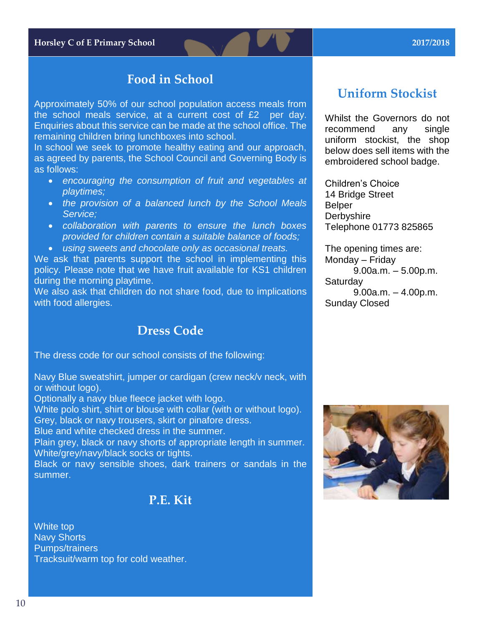**Horsley C of E Primary School 2017/2018**

### **Food in School**

Approximately 50% of our school population access meals from the school meals service, at a current cost of £2 per day. Enquiries about this service can be made at the school office. The remaining children bring lunchboxes into school.

In school we seek to promote healthy eating and our approach, as agreed by parents, the School Council and Governing Body is as follows:

- *encouraging the consumption of fruit and vegetables at playtimes;*
- *the provision of a balanced lunch by the School Meals Service;*
- *collaboration with parents to ensure the lunch boxes provided for children contain a suitable balance of foods;*
- *using sweets and chocolate only as occasional treats.*

We ask that parents support the school in implementing this policy. Please note that we have fruit available for KS1 children during the morning playtime.

We also ask that children do not share food, due to implications with food allergies.

### **Dress Code**

The dress code for our school consists of the following:

Navy Blue sweatshirt, jumper or cardigan (crew neck/v neck, with or without logo).

Optionally a navy blue fleece jacket with logo.

White polo shirt, shirt or blouse with collar (with or without logo). Grey, black or navy trousers, skirt or pinafore dress.

Blue and white checked dress in the summer.

Plain grey, black or navy shorts of appropriate length in summer. White/grey/navy/black socks or tights.

Black or navy sensible shoes, dark trainers or sandals in the summer.

### **P.E. Kit**

White top Navy Shorts Pumps/trainers Tracksuit/warm top for cold weather.

# **Uniform Stockist**

Whilst the Governors do not recommend any single uniform stockist, the shop below does sell items with the embroidered school badge.

Children's Choice 14 Bridge Street Belper **Derbyshire** Telephone 01773 825865

The opening times are: Monday – Friday 9.00a.m. – 5.00p.m. **Saturdav** 9.00a.m. – 4.00p.m. Sunday Closed